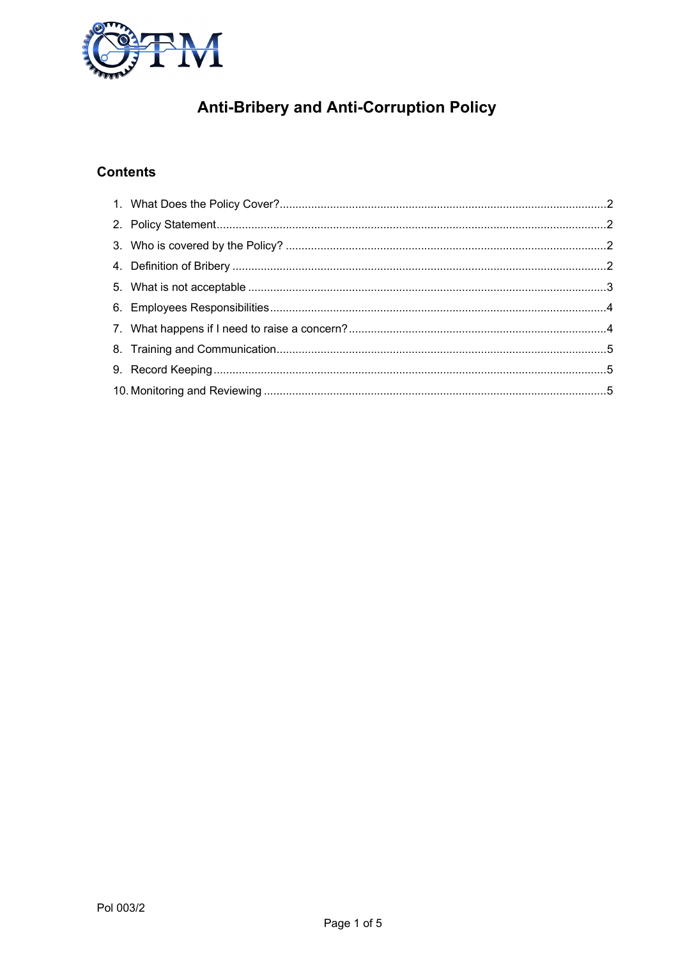

# **Anti-Bribery and Anti-Corruption Policy**

## **Contents**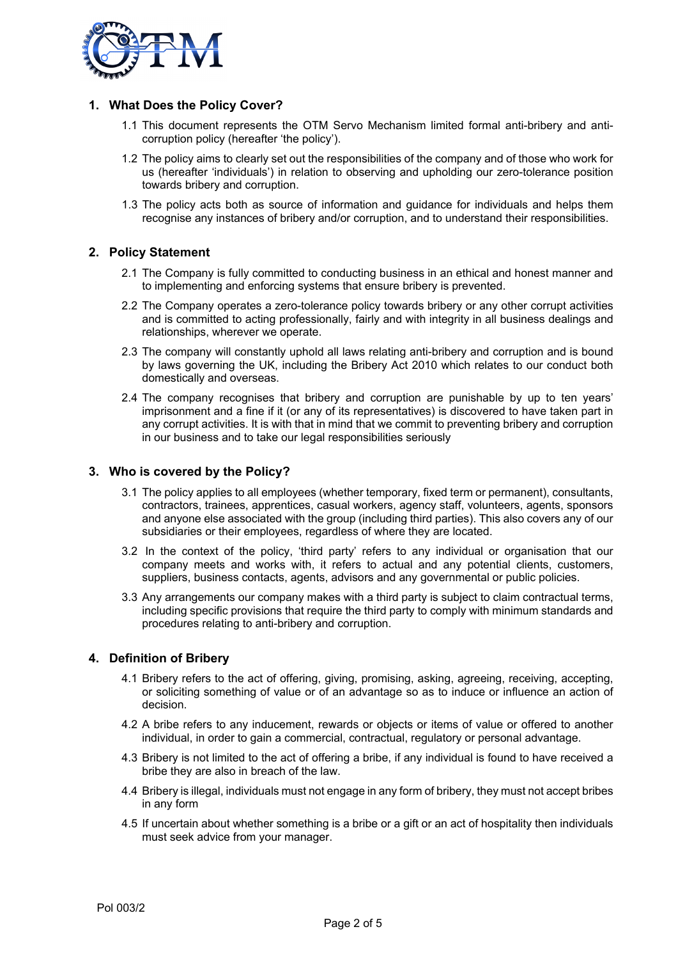

## **1. What Does the Policy Cover?**

- 1.1 This document represents the OTM Servo Mechanism limited formal anti-bribery and anticorruption policy (hereafter 'the policy').
- 1.2 The policy aims to clearly set out the responsibilities of the company and of those who work for us (hereafter 'individuals') in relation to observing and upholding our zero-tolerance position towards bribery and corruption.
- 1.3 The policy acts both as source of information and guidance for individuals and helps them recognise any instances of bribery and/or corruption, and to understand their responsibilities.

## **2. Policy Statement**

- 2.1 The Company is fully committed to conducting business in an ethical and honest manner and to implementing and enforcing systems that ensure bribery is prevented.
- 2.2 The Company operates a zero-tolerance policy towards bribery or any other corrupt activities and is committed to acting professionally, fairly and with integrity in all business dealings and relationships, wherever we operate.
- 2.3 The company will constantly uphold all laws relating anti-bribery and corruption and is bound by laws governing the UK, including the Bribery Act 2010 which relates to our conduct both domestically and overseas.
- 2.4 The company recognises that bribery and corruption are punishable by up to ten years' imprisonment and a fine if it (or any of its representatives) is discovered to have taken part in any corrupt activities. It is with that in mind that we commit to preventing bribery and corruption in our business and to take our legal responsibilities seriously

## **3. Who is covered by the Policy?**

- 3.1 The policy applies to all employees (whether temporary, fixed term or permanent), consultants, contractors, trainees, apprentices, casual workers, agency staff, volunteers, agents, sponsors and anyone else associated with the group (including third parties). This also covers any of our subsidiaries or their employees, regardless of where they are located.
- 3.2 In the context of the policy, 'third party' refers to any individual or organisation that our company meets and works with, it refers to actual and any potential clients, customers, suppliers, business contacts, agents, advisors and any governmental or public policies.
- 3.3 Any arrangements our company makes with a third party is subject to claim contractual terms, including specific provisions that require the third party to comply with minimum standards and procedures relating to anti-bribery and corruption.

## **4. Definition of Bribery**

- 4.1 Bribery refers to the act of offering, giving, promising, asking, agreeing, receiving, accepting, or soliciting something of value or of an advantage so as to induce or influence an action of decision.
- 4.2 A bribe refers to any inducement, rewards or objects or items of value or offered to another individual, in order to gain a commercial, contractual, regulatory or personal advantage.
- 4.3 Bribery is not limited to the act of offering a bribe, if any individual is found to have received a bribe they are also in breach of the law.
- 4.4 Bribery is illegal, individuals must not engage in any form of bribery, they must not accept bribes in any form
- 4.5 If uncertain about whether something is a bribe or a gift or an act of hospitality then individuals must seek advice from your manager.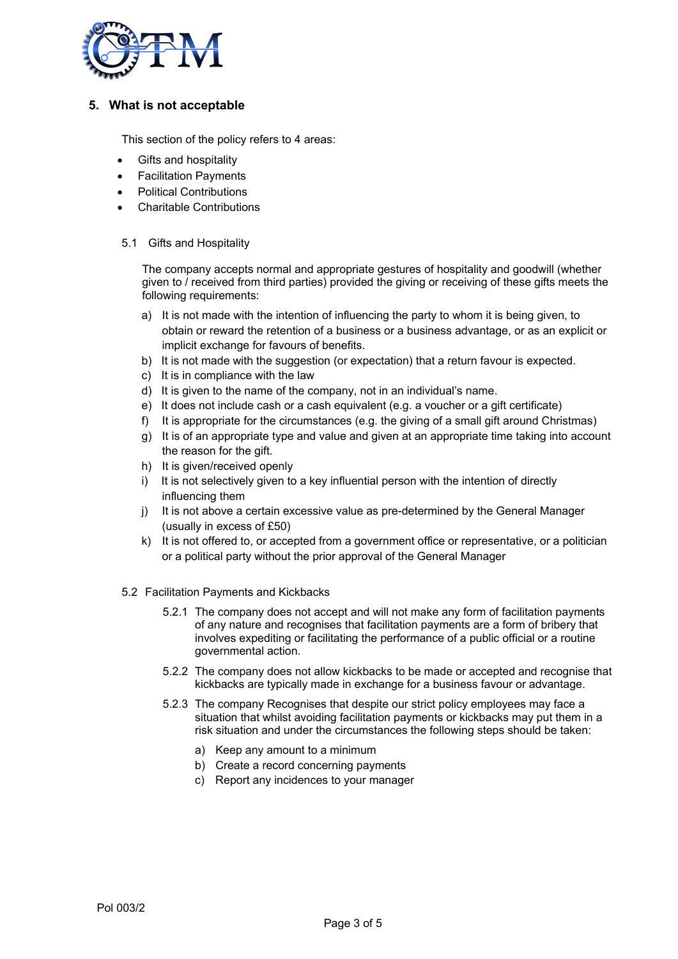

## **5. What is not acceptable**

This section of the policy refers to 4 areas:

- Gifts and hospitality
- Facilitation Payments
- Political Contributions
- Charitable Contributions

#### 5.1 Gifts and Hospitality

The company accepts normal and appropriate gestures of hospitality and goodwill (whether given to / received from third parties) provided the giving or receiving of these gifts meets the following requirements:

- a) It is not made with the intention of influencing the party to whom it is being given, to obtain or reward the retention of a business or a business advantage, or as an explicit or implicit exchange for favours of benefits.
- b) It is not made with the suggestion (or expectation) that a return favour is expected.
- c) It is in compliance with the law
- d) It is given to the name of the company, not in an individual's name.
- e) It does not include cash or a cash equivalent (e.g. a voucher or a gift certificate)
- f) It is appropriate for the circumstances (e.g. the giving of a small gift around Christmas)
- g) It is of an appropriate type and value and given at an appropriate time taking into account the reason for the gift.
- h) It is given/received openly
- i) It is not selectively given to a key influential person with the intention of directly influencing them
- i) It is not above a certain excessive value as pre-determined by the General Manager (usually in excess of £50)
- k) It is not offered to, or accepted from a government office or representative, or a politician or a political party without the prior approval of the General Manager
- 5.2 Facilitation Payments and Kickbacks
	- 5.2.1 The company does not accept and will not make any form of facilitation payments of any nature and recognises that facilitation payments are a form of bribery that involves expediting or facilitating the performance of a public official or a routine governmental action.
	- 5.2.2 The company does not allow kickbacks to be made or accepted and recognise that kickbacks are typically made in exchange for a business favour or advantage.
	- 5.2.3 The company Recognises that despite our strict policy employees may face a situation that whilst avoiding facilitation payments or kickbacks may put them in a risk situation and under the circumstances the following steps should be taken:
		- a) Keep any amount to a minimum
		- b) Create a record concerning payments
		- c) Report any incidences to your manager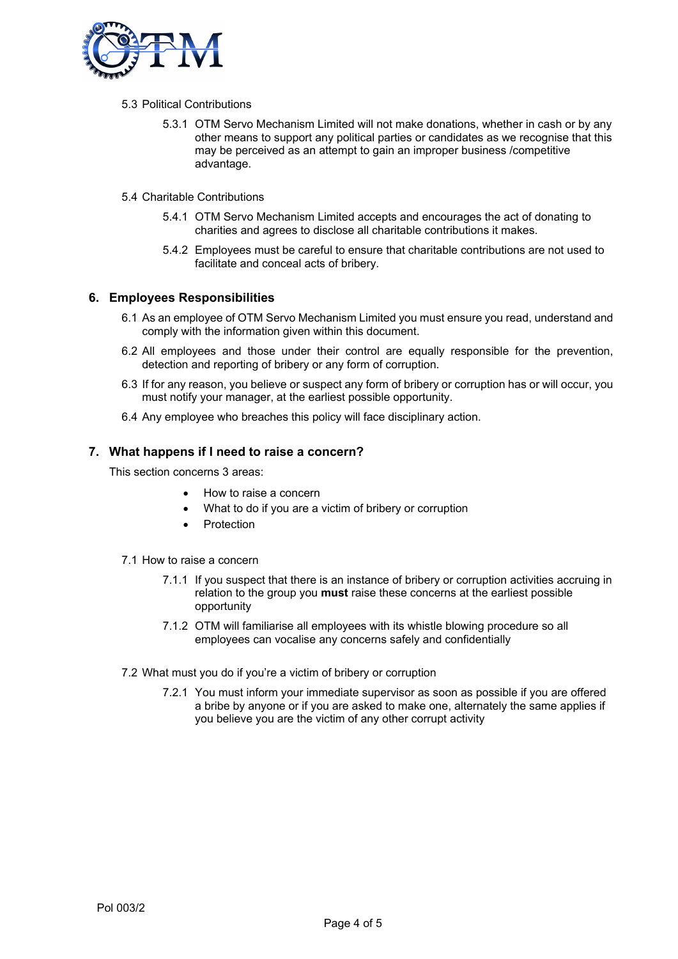

#### 5.3 Political Contributions

- 5.3.1 OTM Servo Mechanism Limited will not make donations, whether in cash or by any other means to support any political parties or candidates as we recognise that this may be perceived as an attempt to gain an improper business /competitive advantage.
- 5.4 Charitable Contributions
	- 5.4.1 OTM Servo Mechanism Limited accepts and encourages the act of donating to charities and agrees to disclose all charitable contributions it makes.
	- 5.4.2 Employees must be careful to ensure that charitable contributions are not used to facilitate and conceal acts of bribery.

## **6. Employees Responsibilities**

- 6.1 As an employee of OTM Servo Mechanism Limited you must ensure you read, understand and comply with the information given within this document.
- 6.2 All employees and those under their control are equally responsible for the prevention, detection and reporting of bribery or any form of corruption.
- 6.3 If for any reason, you believe or suspect any form of bribery or corruption has or will occur, you must notify your manager, at the earliest possible opportunity.
- 6.4 Any employee who breaches this policy will face disciplinary action.

## **7. What happens if I need to raise a concern?**

This section concerns 3 areas:

- How to raise a concern
- What to do if you are a victim of bribery or corruption
- Protection
- 7.1 How to raise a concern
	- 7.1.1 If you suspect that there is an instance of bribery or corruption activities accruing in relation to the group you **must** raise these concerns at the earliest possible opportunity
	- 7.1.2 OTM will familiarise all employees with its whistle blowing procedure so all employees can vocalise any concerns safely and confidentially
- 7.2 What must you do if you're a victim of bribery or corruption
	- 7.2.1 You must inform your immediate supervisor as soon as possible if you are offered a bribe by anyone or if you are asked to make one, alternately the same applies if you believe you are the victim of any other corrupt activity